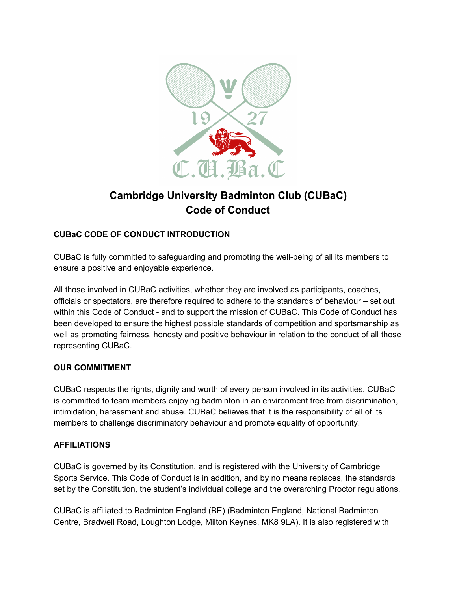

# **Cambridge University Badminton Club (CUBaC) Code of Conduct**

# **CUBaC CODE OF CONDUCT INTRODUCTION**

CUBaC is fully committed to safeguarding and promoting the well-being of all its members to ensure a positive and enjoyable experience.

All those involved in CUBaC activities, whether they are involved as participants, coaches, officials or spectators, are therefore required to adhere to the standards of behaviour – set out within this Code of Conduct - and to support the mission of CUBaC. This Code of Conduct has been developed to ensure the highest possible standards of competition and sportsmanship as well as promoting fairness, honesty and positive behaviour in relation to the conduct of all those representing CUBaC.

## **OUR COMMITMENT**

CUBaC respects the rights, dignity and worth of every person involved in its activities. CUBaC is committed to team members enjoying badminton in an environment free from discrimination, intimidation, harassment and abuse. CUBaC believes that it is the responsibility of all of its members to challenge discriminatory behaviour and promote equality of opportunity.

## **AFFILIATIONS**

CUBaC is governed by its Constitution, and is registered with the University of Cambridge Sports Service. This Code of Conduct is in addition, and by no means replaces, the standards set by the Constitution, the student's individual college and the overarching Proctor regulations.

CUBaC is affiliated to Badminton England (BE) (Badminton England, National Badminton Centre, Bradwell Road, Loughton Lodge, Milton Keynes, MK8 9LA). It is also registered with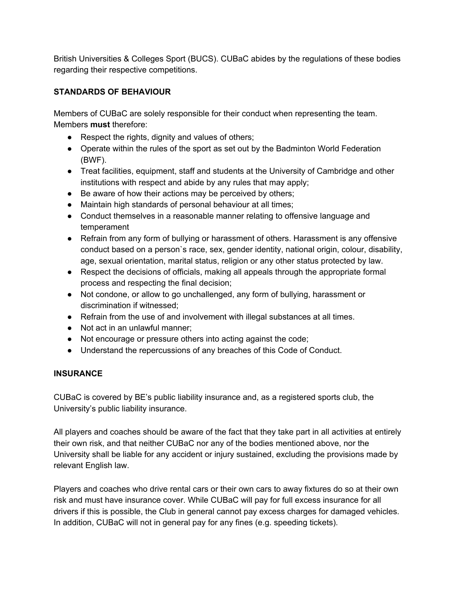British Universities & Colleges Sport (BUCS). CUBaC abides by the regulations of these bodies regarding their respective competitions.

## **STANDARDS OF BEHAVIOUR**

Members of CUBaC are solely responsible for their conduct when representing the team. Members **must** therefore:

- Respect the rights, dignity and values of others;
- Operate within the rules of the sport as set out by the Badminton World Federation (BWF).
- Treat facilities, equipment, staff and students at the University of Cambridge and other institutions with respect and abide by any rules that may apply;
- Be aware of how their actions may be perceived by others;
- Maintain high standards of personal behaviour at all times;
- Conduct themselves in a reasonable manner relating to offensive language and temperament
- Refrain from any form of bullying or harassment of others. Harassment is any offensive conduct based on a person`s race, sex, gender identity, national origin, colour, disability, age, sexual orientation, marital status, religion or any other status protected by law.
- Respect the decisions of officials, making all appeals through the appropriate formal process and respecting the final decision;
- Not condone, or allow to go unchallenged, any form of bullying, harassment or discrimination if witnessed;
- Refrain from the use of and involvement with illegal substances at all times.
- Not act in an unlawful manner;
- Not encourage or pressure others into acting against the code;
- Understand the repercussions of any breaches of this Code of Conduct.

## **INSURANCE**

CUBaC is covered by BE's public liability insurance and, as a registered sports club, the University's public liability insurance.

All players and coaches should be aware of the fact that they take part in all activities at entirely their own risk, and that neither CUBaC nor any of the bodies mentioned above, nor the University shall be liable for any accident or injury sustained, excluding the provisions made by relevant English law.

Players and coaches who drive rental cars or their own cars to away fixtures do so at their own risk and must have insurance cover. While CUBaC will pay for full excess insurance for all drivers if this is possible, the Club in general cannot pay excess charges for damaged vehicles. In addition, CUBaC will not in general pay for any fines (e.g. speeding tickets).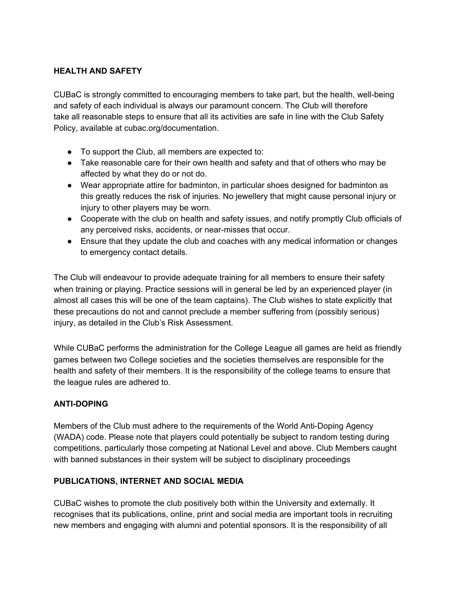## **HEALTH AND SAFETY**

CUBaC is strongly committed to encouraging members to take part, but the health, well-being and safety of each individual is always our paramount concern. The Club will therefore take all reasonable steps to ensure that all its activities are safe in line with the Club Safety Policy, available at cubac.org/documentation.

- To support the Club, all members are expected to:
- Take reasonable care for their own health and safety and that of others who may be affected by what they do or not do.
- Wear appropriate attire for badminton, in particular shoes designed for badminton as this greatly reduces the risk of injuries. No jewellery that might cause personal injury or injury to other players may be worn.
- Cooperate with the club on health and safety issues, and notify promptly Club officials of any perceived risks, accidents, or near-misses that occur.
- Ensure that they update the club and coaches with any medical information or changes to emergency contact details.

The Club will endeavour to provide adequate training for all members to ensure their safety when training or playing. Practice sessions will in general be led by an experienced player (in almost all cases this will be one of the team captains). The Club wishes to state explicitly that these precautions do not and cannot preclude a member suffering from (possibly serious) injury, as detailed in the Club's Risk Assessment.

While CUBaC performs the administration for the College League all games are held as friendly games between two College societies and the societies themselves are responsible for the health and safety of their members. It is the responsibility of the college teams to ensure that the league rules are adhered to.

## **ANTI-DOPING**

Members of the Club must adhere to the requirements of the World Anti-Doping Agency (WADA) code. Please note that players could potentially be subject to random testing during competitions, particularly those competing at National Level and above. Club Members caught with banned substances in their system will be subject to disciplinary proceedings

## **PUBLICATIONS, INTERNET AND SOCIAL MEDIA**

CUBaC wishes to promote the club positively both within the University and externally. It recognises that its publications, online, print and social media are important tools in recruiting new members and engaging with alumni and potential sponsors. It is the responsibility of all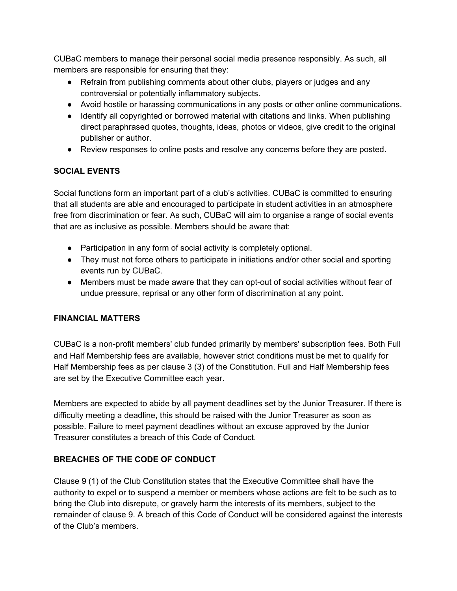CUBaC members to manage their personal social media presence responsibly. As such, all members are responsible for ensuring that they:

- Refrain from publishing comments about other clubs, players or judges and any controversial or potentially inflammatory subjects.
- Avoid hostile or harassing communications in any posts or other online communications.
- Identify all copyrighted or borrowed material with citations and links. When publishing direct paraphrased quotes, thoughts, ideas, photos or videos, give credit to the original publisher or author.
- Review responses to online posts and resolve any concerns before they are posted.

# **SOCIAL EVENTS**

Social functions form an important part of a club's activities. CUBaC is committed to ensuring that all students are able and encouraged to participate in student activities in an atmosphere free from discrimination or fear. As such, CUBaC will aim to organise a range of social events that are as inclusive as possible. Members should be aware that:

- Participation in any form of social activity is completely optional.
- They must not force others to participate in initiations and/or other social and sporting events run by CUBaC.
- Members must be made aware that they can opt-out of social activities without fear of undue pressure, reprisal or any other form of discrimination at any point.

## **FINANCIAL MATTERS**

CUBaC is a non-profit members' club funded primarily by members' subscription fees. Both Full and Half Membership fees are available, however strict conditions must be met to qualify for Half Membership fees as per clause 3 (3) of the Constitution. Full and Half Membership fees are set by the Executive Committee each year.

Members are expected to abide by all payment deadlines set by the Junior Treasurer. If there is difficulty meeting a deadline, this should be raised with the Junior Treasurer as soon as possible. Failure to meet payment deadlines without an excuse approved by the Junior Treasurer constitutes a breach of this Code of Conduct.

## **BREACHES OF THE CODE OF CONDUCT**

Clause 9 (1) of the Club Constitution states that the Executive Committee shall have the authority to expel or to suspend a member or members whose actions are felt to be such as to bring the Club into disrepute, or gravely harm the interests of its members, subject to the remainder of clause 9. A breach of this Code of Conduct will be considered against the interests of the Club's members.